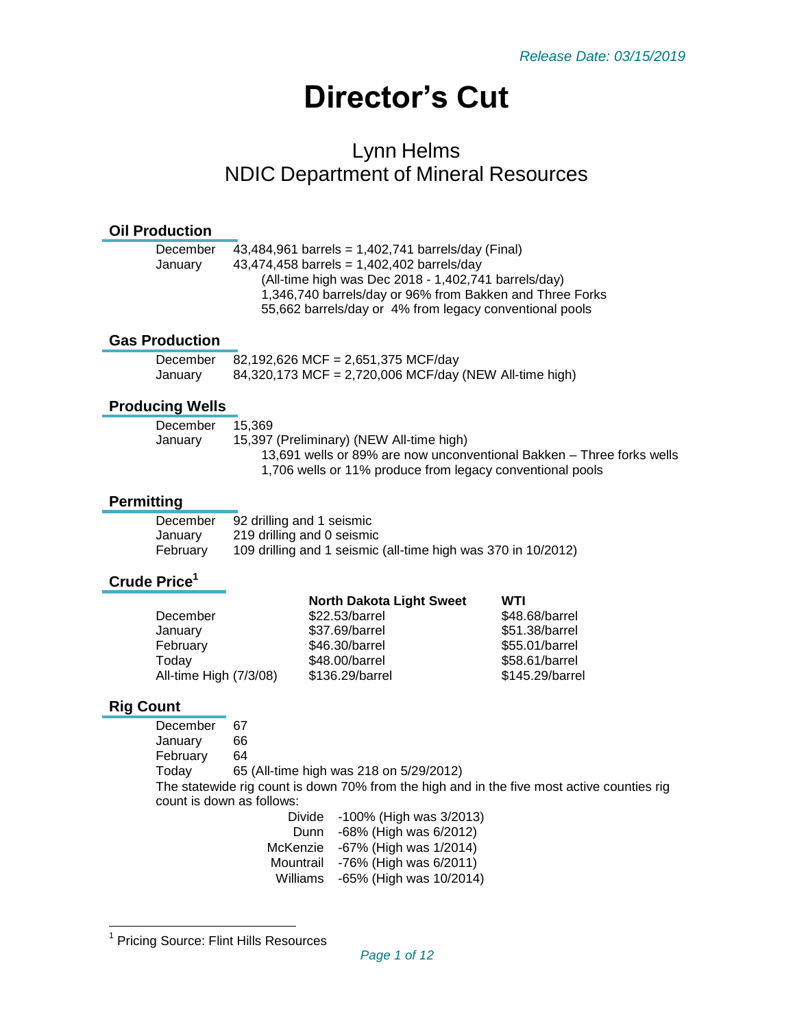# **Director's Cut**

## Lynn Helms NDIC Department of Mineral Resources

## **Oil Production**

| December | 43,484,961 barrels = $1,402,741$ barrels/day (Final)     |
|----------|----------------------------------------------------------|
| Januarv  | 43,474,458 barrels = $1,402,402$ barrels/day             |
|          | (All-time high was Dec 2018 - 1,402,741 barrels/day)     |
|          | 1,346,740 barrels/day or 96% from Bakken and Three Forks |
|          | 55,662 barrels/day or 4% from legacy conventional pools  |
|          |                                                          |

#### **Gas Production**

| December | 82,192,626 MCF = 2,651,375 MCF/day                     |
|----------|--------------------------------------------------------|
| January  | 84,320,173 MCF = 2,720,006 MCF/day (NEW All-time high) |

## **Producing Wells**

| December | 15.369                                                                |
|----------|-----------------------------------------------------------------------|
| January  | 15,397 (Preliminary) (NEW All-time high)                              |
|          | 13,691 wells or 89% are now unconventional Bakken – Three forks wells |
|          | 1,706 wells or 11% produce from legacy conventional pools             |

## **Permitting**

| December | 92 drilling and 1 seismic                                     |
|----------|---------------------------------------------------------------|
| Januarv  | 219 drilling and 0 seismic                                    |
| February | 109 drilling and 1 seismic (all-time high was 370 in 10/2012) |

## **Crude Price<sup>1</sup>**

|                        | <b>North Dakota Light Sweet</b> | WTI             |
|------------------------|---------------------------------|-----------------|
| December               | \$22.53/barrel                  | \$48.68/barrel  |
| January                | \$37.69/barrel                  | \$51.38/barrel  |
| February               | \$46.30/barrel                  | \$55.01/barrel  |
| Today                  | \$48.00/barrel                  | \$58.61/barrel  |
| All-time High (7/3/08) | \$136.29/barrel                 | \$145.29/barrel |
|                        |                                 |                 |

## **Rig Count**

December 67 January 66 February 64 Today 65 (All-time high was 218 on 5/29/2012) The statewide rig count is down 70% from the high and in the five most active counties rig count is down as follows:

| Divide    | -100% (High was 3/2013) |
|-----------|-------------------------|
| Dunn      | -68% (High was 6/2012)  |
| McKenzie  | -67% (High was 1/2014)  |
| Mountrail | -76% (High was 6/2011)  |
| Williams  | -65% (High was 10/2014) |

 1 Pricing Source: Flint Hills Resources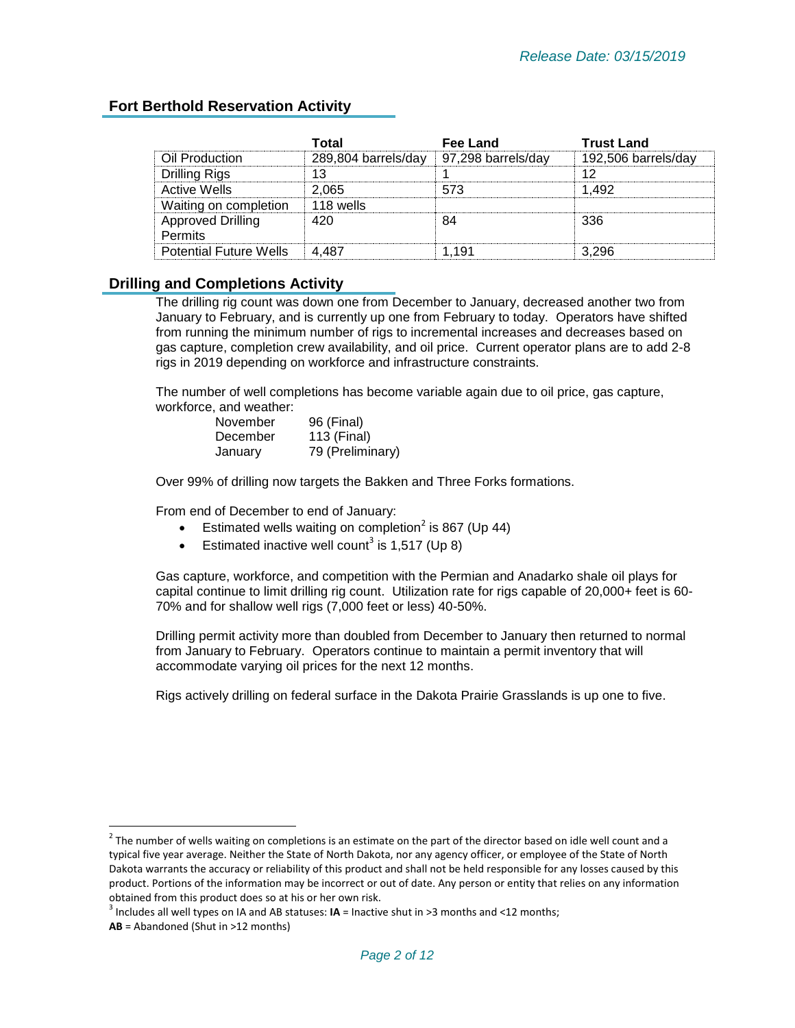## **Fort Berthold Reservation Activity**

|                                            | Total               | Fee Land                       | <b>Trust Land</b>   |
|--------------------------------------------|---------------------|--------------------------------|---------------------|
| Oil Production                             | 289,804 barrels/day | $\parallel$ 97,298 barrels/day | 192,506 barrels/day |
| <b>Drilling Rigs</b>                       | 13                  |                                |                     |
| <b>Active Wells</b>                        | 2.065               | 573                            | 1 492               |
| Waiting on completion                      | 118 wells           |                                |                     |
| <b>Approved Drilling</b><br><b>Permits</b> | 420                 |                                | 336                 |
| <b>Potential Future Wells</b>              | 4 487               | . 191                          | 3 296               |

#### **Drilling and Completions Activity**

l

The drilling rig count was down one from December to January, decreased another two from January to February, and is currently up one from February to today. Operators have shifted from running the minimum number of rigs to incremental increases and decreases based on gas capture, completion crew availability, and oil price. Current operator plans are to add 2-8 rigs in 2019 depending on workforce and infrastructure constraints.

The number of well completions has become variable again due to oil price, gas capture, workforce, and weather:

| November | 96 (Final)       |
|----------|------------------|
| December | 113 (Final)      |
| January  | 79 (Preliminary) |

Over 99% of drilling now targets the Bakken and Three Forks formations.

From end of December to end of January:

- Estimated wells waiting on completion<sup>2</sup> is 867 (Up 44)
- Estimated inactive well count<sup>3</sup> is 1,517 (Up 8)

Gas capture, workforce, and competition with the Permian and Anadarko shale oil plays for capital continue to limit drilling rig count. Utilization rate for rigs capable of 20,000+ feet is 60- 70% and for shallow well rigs (7,000 feet or less) 40-50%.

Drilling permit activity more than doubled from December to January then returned to normal from January to February. Operators continue to maintain a permit inventory that will accommodate varying oil prices for the next 12 months.

Rigs actively drilling on federal surface in the Dakota Prairie Grasslands is up one to five.

 $^2$  The number of wells waiting on completions is an estimate on the part of the director based on idle well count and a typical five year average. Neither the State of North Dakota, nor any agency officer, or employee of the State of North Dakota warrants the accuracy or reliability of this product and shall not be held responsible for any losses caused by this product. Portions of the information may be incorrect or out of date. Any person or entity that relies on any information obtained from this product does so at his or her own risk.

<sup>3</sup> Includes all well types on IA and AB statuses: **IA** = Inactive shut in >3 months and <12 months; **AB** = Abandoned (Shut in >12 months)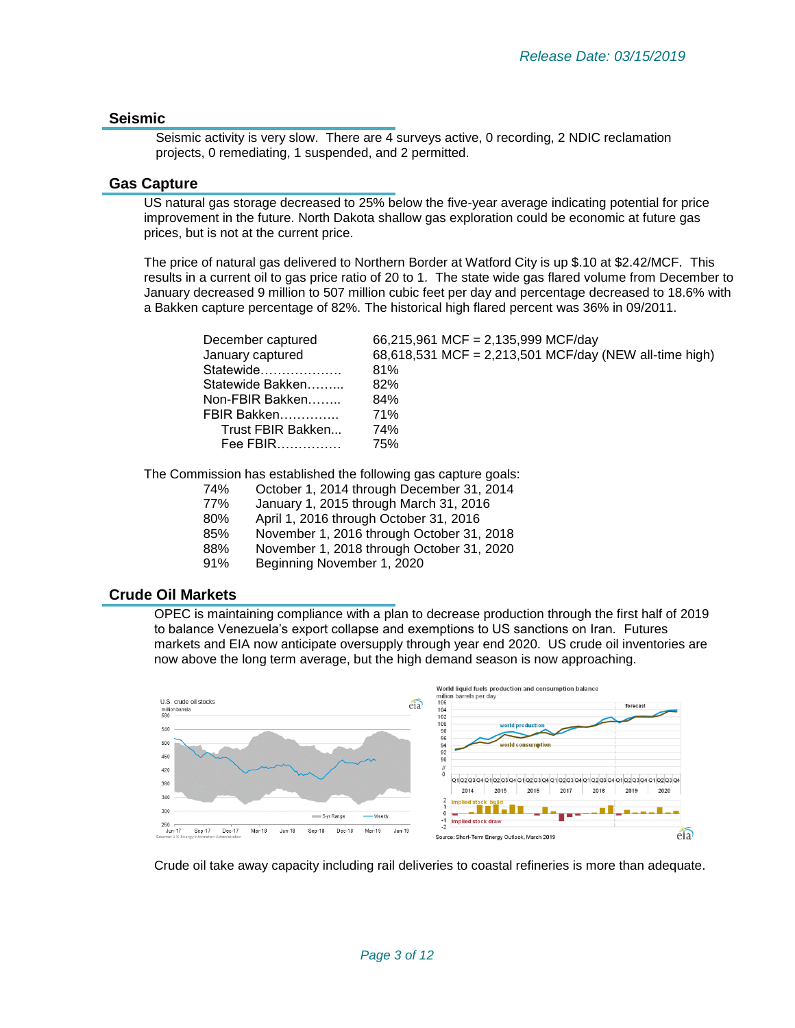#### **Seismic**

Seismic activity is very slow. There are 4 surveys active, 0 recording, 2 NDIC reclamation projects, 0 remediating, 1 suspended, and 2 permitted.

#### **Gas Capture**

US natural gas storage decreased to 25% below the five-year average indicating potential for price improvement in the future. North Dakota shallow gas exploration could be economic at future gas prices, but is not at the current price.

The price of natural gas delivered to Northern Border at Watford City is up \$.10 at \$2.42/MCF. This results in a current oil to gas price ratio of 20 to 1. The state wide gas flared volume from December to January decreased 9 million to 507 million cubic feet per day and percentage decreased to 18.6% with a Bakken capture percentage of 82%. The historical high flared percent was 36% in 09/2011.

| December captured | 66,215,961 MCF = 2,135,999 MCF/day                     |
|-------------------|--------------------------------------------------------|
| January captured  | 68,618,531 MCF = 2,213,501 MCF/day (NEW all-time high) |
| Statewide         | 81%                                                    |
| Statewide Bakken  | 82%                                                    |
| Non-FBIR Bakken   | 84%                                                    |
| FBIR Bakken       | 71%                                                    |
| Trust FBIR Bakken | 74%                                                    |
| Fee FBIR          | 75%                                                    |

The Commission has established the following gas capture goals:

- 74% October 1, 2014 through December 31, 2014
- 77% January 1, 2015 through March 31, 2016
- 80% April 1, 2016 through October 31, 2016
- 85% November 1, 2016 through October 31, 2018
- 88% November 1, 2018 through October 31, 2020
- 91% Beginning November 1, 2020

#### **Crude Oil Markets**

OPEC is maintaining compliance with a plan to decrease production through the first half of 2019 to balance Venezuela's export collapse and exemptions to US sanctions on Iran. Futures markets and EIA now anticipate oversupply through year end 2020. US crude oil inventories are now above the long term average, but the high demand season is now approaching.



Crude oil take away capacity including rail deliveries to coastal refineries is more than adequate.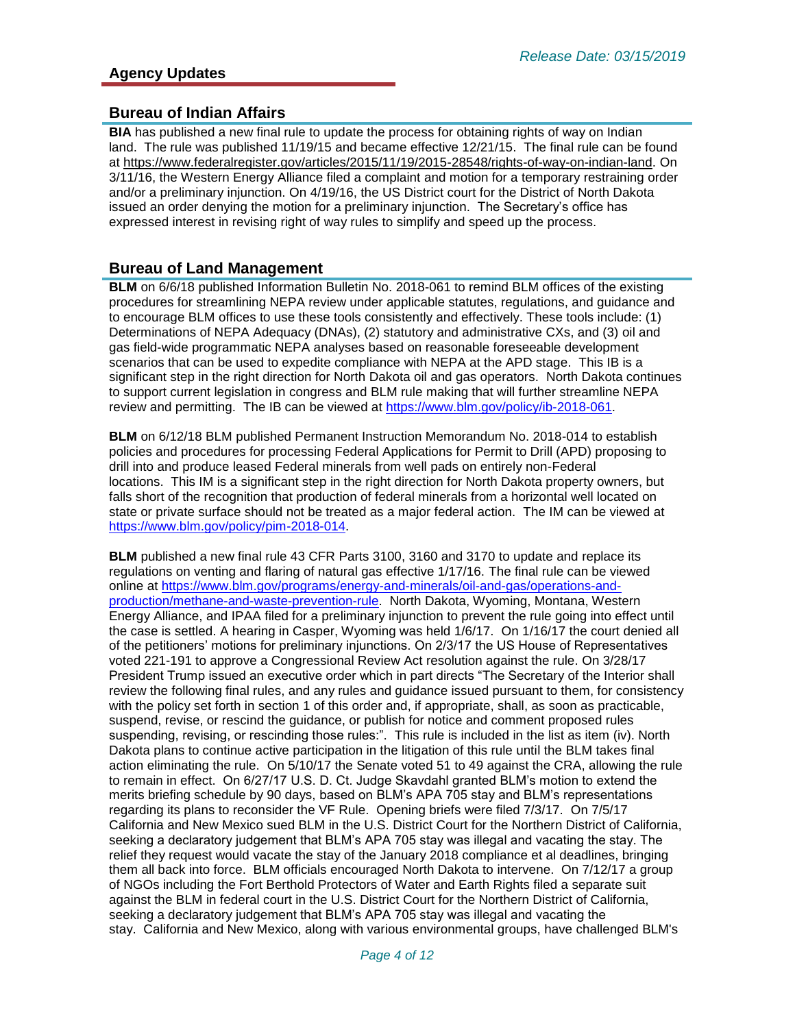## **Bureau of Indian Affairs**

**BIA** has published a new final rule to update the process for obtaining rights of way on Indian land. The rule was published 11/19/15 and became effective 12/21/15. The final rule can be found at [https://www.federalregister.gov/articles/2015/11/19/2015-28548/rights-of-way-on-indian-land.](https://www.federalregister.gov/articles/2015/11/19/2015-28548/rights-of-way-on-indian-land) On 3/11/16, the Western Energy Alliance filed a complaint and motion for a temporary restraining order and/or a preliminary injunction. On 4/19/16, the US District court for the District of North Dakota issued an order denying the motion for a preliminary injunction. The Secretary's office has expressed interest in revising right of way rules to simplify and speed up the process.

#### **Bureau of Land Management**

**BLM** on 6/6/18 published Information Bulletin No. 2018-061 to remind BLM offices of the existing procedures for streamlining NEPA review under applicable statutes, regulations, and guidance and to encourage BLM offices to use these tools consistently and effectively. These tools include: (1) Determinations of NEPA Adequacy (DNAs), (2) statutory and administrative CXs, and (3) oil and gas field-wide programmatic NEPA analyses based on reasonable foreseeable development scenarios that can be used to expedite compliance with NEPA at the APD stage. This IB is a significant step in the right direction for North Dakota oil and gas operators. North Dakota continues to support current legislation in congress and BLM rule making that will further streamline NEPA review and permitting. The IB can be viewed at [https://www.blm.gov/policy/ib-2018-061.](https://www.blm.gov/policy/ib-2018-061)

**BLM** on 6/12/18 BLM published Permanent Instruction Memorandum No. 2018-014 to establish policies and procedures for processing Federal Applications for Permit to Drill (APD) proposing to drill into and produce leased Federal minerals from well pads on entirely non-Federal locations. This IM is a significant step in the right direction for North Dakota property owners, but falls short of the recognition that production of federal minerals from a horizontal well located on state or private surface should not be treated as a major federal action. The IM can be viewed at [https://www.blm.gov/policy/pim-2018-014.](https://www.blm.gov/policy/pim-2018-014)

**BLM** published a new final rule 43 CFR Parts 3100, 3160 and 3170 to update and replace its regulations on venting and flaring of natural gas effective 1/17/16. The final rule can be viewed online at [https://www.blm.gov/programs/energy-and-minerals/oil-and-gas/operations-and](https://www.blm.gov/programs/energy-and-minerals/oil-and-gas/operations-and-production/methane-and-waste-prevention-rule)[production/methane-and-waste-prevention-rule.](https://www.blm.gov/programs/energy-and-minerals/oil-and-gas/operations-and-production/methane-and-waste-prevention-rule) North Dakota, Wyoming, Montana, Western Energy Alliance, and IPAA filed for a preliminary injunction to prevent the rule going into effect until the case is settled. A hearing in Casper, Wyoming was held 1/6/17. On 1/16/17 the court denied all of the petitioners' motions for preliminary injunctions. On 2/3/17 the US House of Representatives voted 221-191 to approve a Congressional Review Act resolution against the rule. On 3/28/17 President Trump issued an executive order which in part directs "The Secretary of the Interior shall review the following final rules, and any rules and guidance issued pursuant to them, for consistency with the policy set forth in section 1 of this order and, if appropriate, shall, as soon as practicable, suspend, revise, or rescind the guidance, or publish for notice and comment proposed rules suspending, revising, or rescinding those rules:". This rule is included in the list as item (iv). North Dakota plans to continue active participation in the litigation of this rule until the BLM takes final action eliminating the rule. On 5/10/17 the Senate voted 51 to 49 against the CRA, allowing the rule to remain in effect. On 6/27/17 U.S. D. Ct. Judge Skavdahl granted BLM's motion to extend the merits briefing schedule by 90 days, based on BLM's APA 705 stay and BLM's representations regarding its plans to reconsider the VF Rule. Opening briefs were filed 7/3/17. On 7/5/17 California and New Mexico sued BLM in the U.S. District Court for the Northern District of California, seeking a declaratory judgement that BLM's APA 705 stay was illegal and vacating the stay. The relief they request would vacate the stay of the January 2018 compliance et al deadlines, bringing them all back into force. BLM officials encouraged North Dakota to intervene. On 7/12/17 a group of NGOs including the Fort Berthold Protectors of Water and Earth Rights filed a separate suit against the BLM in federal court in the U.S. District Court for the Northern District of California, seeking a declaratory judgement that BLM's APA 705 stay was illegal and vacating the stay. California and New Mexico, along with various environmental groups, have challenged BLM's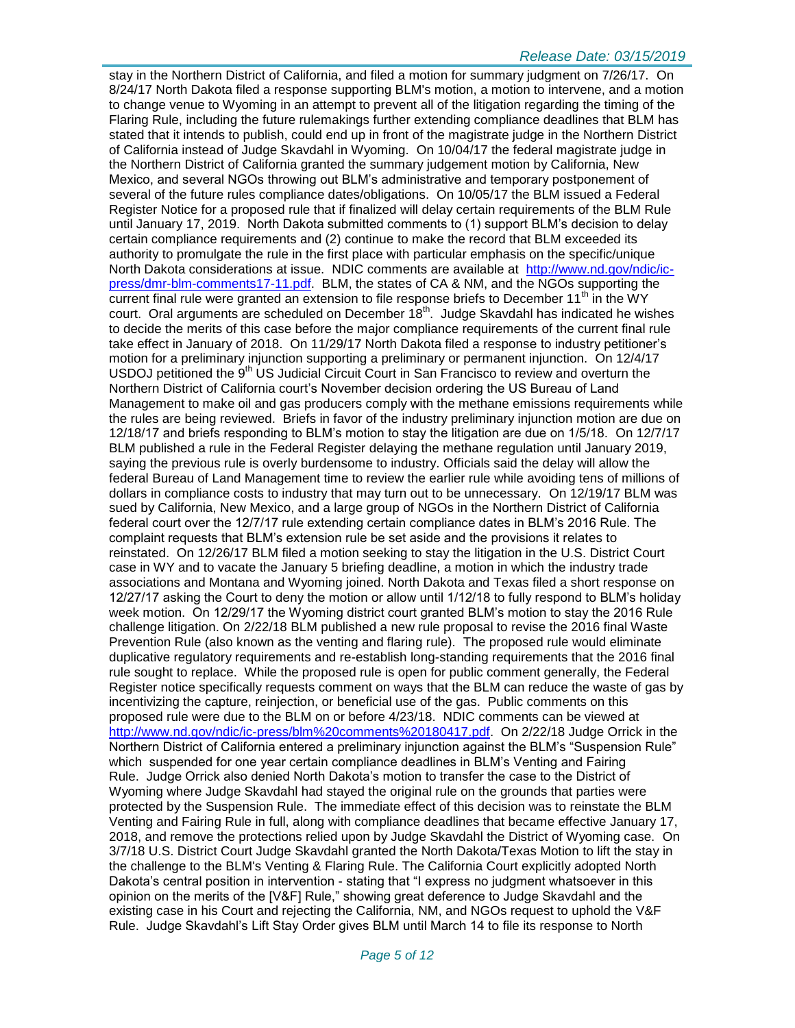#### *Release Date: 03/15/2019*

stay in the Northern District of California, and filed a motion for summary judgment on 7/26/17. On 8/24/17 North Dakota filed a response supporting BLM's motion, a motion to intervene, and a motion to change venue to Wyoming in an attempt to prevent all of the litigation regarding the timing of the Flaring Rule, including the future rulemakings further extending compliance deadlines that BLM has stated that it intends to publish, could end up in front of the magistrate judge in the Northern District of California instead of Judge Skavdahl in Wyoming. On 10/04/17 the federal magistrate judge in the Northern District of California granted the summary judgement motion by California, New Mexico, and several NGOs throwing out BLM's administrative and temporary postponement of several of the future rules compliance dates/obligations. On 10/05/17 the BLM issued a Federal Register Notice for a proposed rule that if finalized will delay certain requirements of the BLM Rule until January 17, 2019. North Dakota submitted comments to (1) support BLM's decision to delay certain compliance requirements and (2) continue to make the record that BLM exceeded its authority to promulgate the rule in the first place with particular emphasis on the specific/unique North Dakota considerations at issue. NDIC comments are available at [http://www.nd.gov/ndic/ic](http://www.nd.gov/ndic/ic-press/dmr-blm-comments17-11.pdf)[press/dmr-blm-comments17-11.pdf.](http://www.nd.gov/ndic/ic-press/dmr-blm-comments17-11.pdf) BLM, the states of CA & NM, and the NGOs supporting the current final rule were granted an extension to file response briefs to December  $11<sup>th</sup>$  in the WY court. Oral arguments are scheduled on December  $18<sup>th</sup>$ . Judge Skavdahl has indicated he wishes to decide the merits of this case before the major compliance requirements of the current final rule take effect in January of 2018. On 11/29/17 North Dakota filed a response to industry petitioner's motion for a preliminary injunction supporting a preliminary or permanent injunction. On 12/4/17 USDOJ petitioned the 9<sup>th</sup> US Judicial Circuit Court in San Francisco to review and overturn the Northern District of California court's November decision ordering the US Bureau of Land Management to make oil and gas producers comply with the methane emissions requirements while the rules are being reviewed. Briefs in favor of the industry preliminary injunction motion are due on 12/18/17 and briefs responding to BLM's motion to stay the litigation are due on 1/5/18. On 12/7/17 BLM published a rule in the Federal Register delaying the methane regulation until January 2019, saying the previous rule is overly burdensome to industry. Officials said the delay will allow the federal Bureau of Land Management time to review the earlier rule while avoiding tens of millions of dollars in compliance costs to industry that may turn out to be unnecessary. On 12/19/17 BLM was sued by California, New Mexico, and a large group of NGOs in the Northern District of California federal court over the 12/7/17 rule extending certain compliance dates in BLM's 2016 Rule. The complaint requests that BLM's extension rule be set aside and the provisions it relates to reinstated. On 12/26/17 BLM filed a motion seeking to stay the litigation in the U.S. District Court case in WY and to vacate the January 5 briefing deadline, a motion in which the industry trade associations and Montana and Wyoming joined. North Dakota and Texas filed a short response on 12/27/17 asking the Court to deny the motion or allow until 1/12/18 to fully respond to BLM's holiday week motion. On 12/29/17 the Wyoming district court granted BLM's motion to stay the 2016 Rule challenge litigation. On 2/22/18 BLM published a new rule proposal to revise the 2016 final Waste Prevention Rule (also known as the venting and flaring rule). The proposed rule would eliminate duplicative regulatory requirements and re-establish long-standing requirements that the 2016 final rule sought to replace. While the proposed rule is open for public comment generally, the Federal Register notice specifically requests comment on ways that the BLM can reduce the waste of gas by incentivizing the capture, reinjection, or beneficial use of the gas. Public comments on this proposed rule were due to the BLM on or before 4/23/18. NDIC comments can be viewed at [http://www.nd.gov/ndic/ic-press/blm%20comments%20180417.pdf.](http://www.nd.gov/ndic/ic-press/blm%20comments%20180417.pdf) On 2/22/18 Judge Orrick in the Northern District of California entered a preliminary injunction against the BLM's "Suspension Rule" which suspended for one year certain compliance deadlines in BLM's Venting and Fairing Rule. Judge Orrick also denied North Dakota's motion to transfer the case to the District of Wyoming where Judge Skavdahl had stayed the original rule on the grounds that parties were protected by the Suspension Rule. The immediate effect of this decision was to reinstate the BLM Venting and Fairing Rule in full, along with compliance deadlines that became effective January 17, 2018, and remove the protections relied upon by Judge Skavdahl the District of Wyoming case. On 3/7/18 U.S. District Court Judge Skavdahl granted the North Dakota/Texas Motion to lift the stay in the challenge to the BLM's Venting & Flaring Rule. The California Court explicitly adopted North Dakota's central position in intervention - stating that "I express no judgment whatsoever in this opinion on the merits of the [V&F] Rule," showing great deference to Judge Skavdahl and the existing case in his Court and rejecting the California, NM, and NGOs request to uphold the V&F Rule. Judge Skavdahl's Lift Stay Order gives BLM until March 14 to file its response to North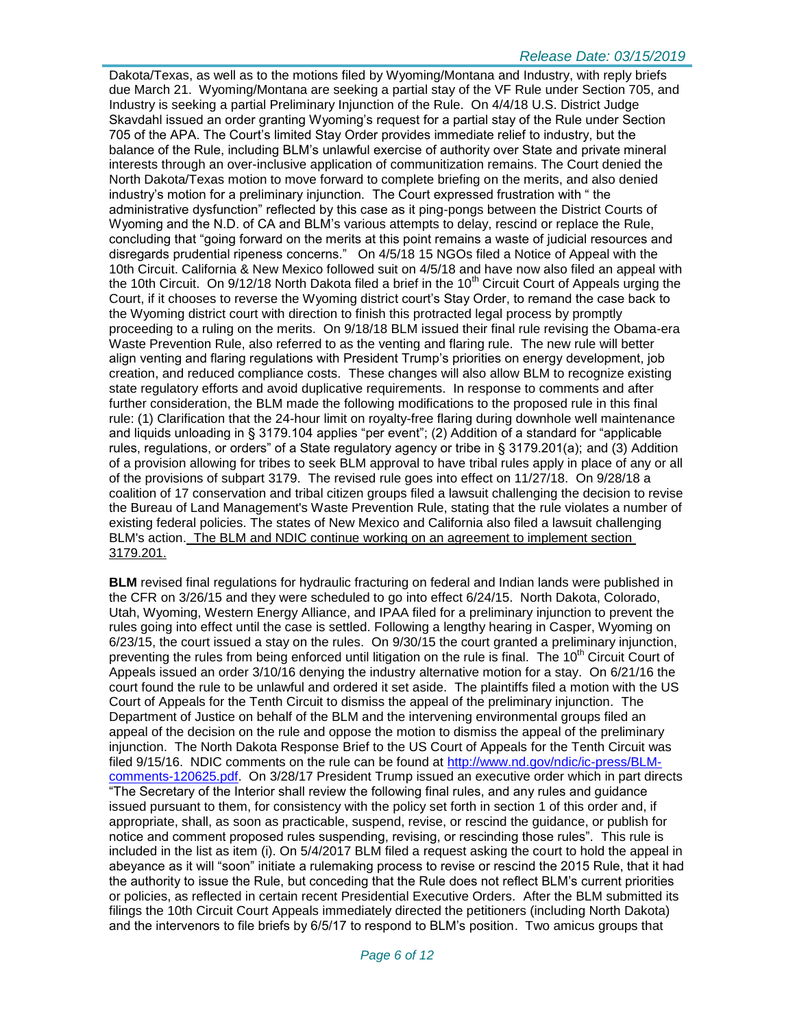#### *Release Date: 03/15/2019*

Dakota/Texas, as well as to the motions filed by Wyoming/Montana and Industry, with reply briefs due March 21. Wyoming/Montana are seeking a partial stay of the VF Rule under Section 705, and Industry is seeking a partial Preliminary Injunction of the Rule. On 4/4/18 U.S. District Judge Skavdahl issued an order granting Wyoming's request for a partial stay of the Rule under Section 705 of the APA. The Court's limited Stay Order provides immediate relief to industry, but the balance of the Rule, including BLM's unlawful exercise of authority over State and private mineral interests through an over-inclusive application of communitization remains. The Court denied the North Dakota/Texas motion to move forward to complete briefing on the merits, and also denied industry's motion for a preliminary injunction. The Court expressed frustration with " the administrative dysfunction" reflected by this case as it ping-pongs between the District Courts of Wyoming and the N.D. of CA and BLM's various attempts to delay, rescind or replace the Rule, concluding that "going forward on the merits at this point remains a waste of judicial resources and disregards prudential ripeness concerns." On 4/5/18 15 NGOs filed a Notice of Appeal with the 10th Circuit. California & New Mexico followed suit on 4/5/18 and have now also filed an appeal with the 10th Circuit. On 9/12/18 North Dakota filed a brief in the 10<sup>th</sup> Circuit Court of Appeals urging the Court, if it chooses to reverse the Wyoming district court's Stay Order, to remand the case back to the Wyoming district court with direction to finish this protracted legal process by promptly proceeding to a ruling on the merits. On 9/18/18 BLM issued their final rule revising the Obama-era Waste Prevention Rule, also referred to as the venting and flaring rule. The new rule will better align venting and flaring regulations with President Trump's priorities on energy development, job creation, and reduced compliance costs. These changes will also allow BLM to recognize existing state regulatory efforts and avoid duplicative requirements. In response to comments and after further consideration, the BLM made the following modifications to the proposed rule in this final rule: (1) Clarification that the 24-hour limit on royalty-free flaring during downhole well maintenance and liquids unloading in § 3179.104 applies "per event"; (2) Addition of a standard for "applicable rules, regulations, or orders" of a State regulatory agency or tribe in § 3179.201(a); and (3) Addition of a provision allowing for tribes to seek BLM approval to have tribal rules apply in place of any or all of the provisions of subpart 3179. The revised rule goes into effect on 11/27/18. On 9/28/18 a coalition of 17 conservation and tribal citizen groups filed a lawsuit challenging the decision to revise the Bureau of Land Management's Waste Prevention Rule, stating that the rule violates a number of existing federal policies. The states of New Mexico and California also filed a lawsuit challenging BLM's action. The BLM and NDIC continue working on an agreement to implement section 3179.201.

**BLM** revised final regulations for hydraulic fracturing on federal and Indian lands were published in the CFR on 3/26/15 and they were scheduled to go into effect 6/24/15. North Dakota, Colorado, Utah, Wyoming, Western Energy Alliance, and IPAA filed for a preliminary injunction to prevent the rules going into effect until the case is settled. Following a lengthy hearing in Casper, Wyoming on 6/23/15, the court issued a stay on the rules. On 9/30/15 the court granted a preliminary injunction, preventing the rules from being enforced until litigation on the rule is final. The 10<sup>th</sup> Circuit Court of Appeals issued an order 3/10/16 denying the industry alternative motion for a stay. On 6/21/16 the court found the rule to be unlawful and ordered it set aside. The plaintiffs filed a motion with the US Court of Appeals for the Tenth Circuit to dismiss the appeal of the preliminary injunction. The Department of Justice on behalf of the BLM and the intervening environmental groups filed an appeal of the decision on the rule and oppose the motion to dismiss the appeal of the preliminary injunction. The North Dakota Response Brief to the US Court of Appeals for the Tenth Circuit was filed 9/15/16. NDIC comments on the rule can be found at [http://www.nd.gov/ndic/ic-press/BLM](http://www.nd.gov/ndic/ic-press/BLM-comments-120625.pdf)[comments-120625.pdf.](http://www.nd.gov/ndic/ic-press/BLM-comments-120625.pdf) On 3/28/17 President Trump issued an executive order which in part directs "The Secretary of the Interior shall review the following final rules, and any rules and guidance issued pursuant to them, for consistency with the policy set forth in section 1 of this order and, if appropriate, shall, as soon as practicable, suspend, revise, or rescind the guidance, or publish for notice and comment proposed rules suspending, revising, or rescinding those rules". This rule is included in the list as item (i). On 5/4/2017 BLM filed a request asking the court to hold the appeal in abeyance as it will "soon" initiate a rulemaking process to revise or rescind the 2015 Rule, that it had the authority to issue the Rule, but conceding that the Rule does not reflect BLM's current priorities or policies, as reflected in certain recent Presidential Executive Orders. After the BLM submitted its filings the 10th Circuit Court Appeals immediately directed the petitioners (including North Dakota) and the intervenors to file briefs by 6/5/17 to respond to BLM's position. Two amicus groups that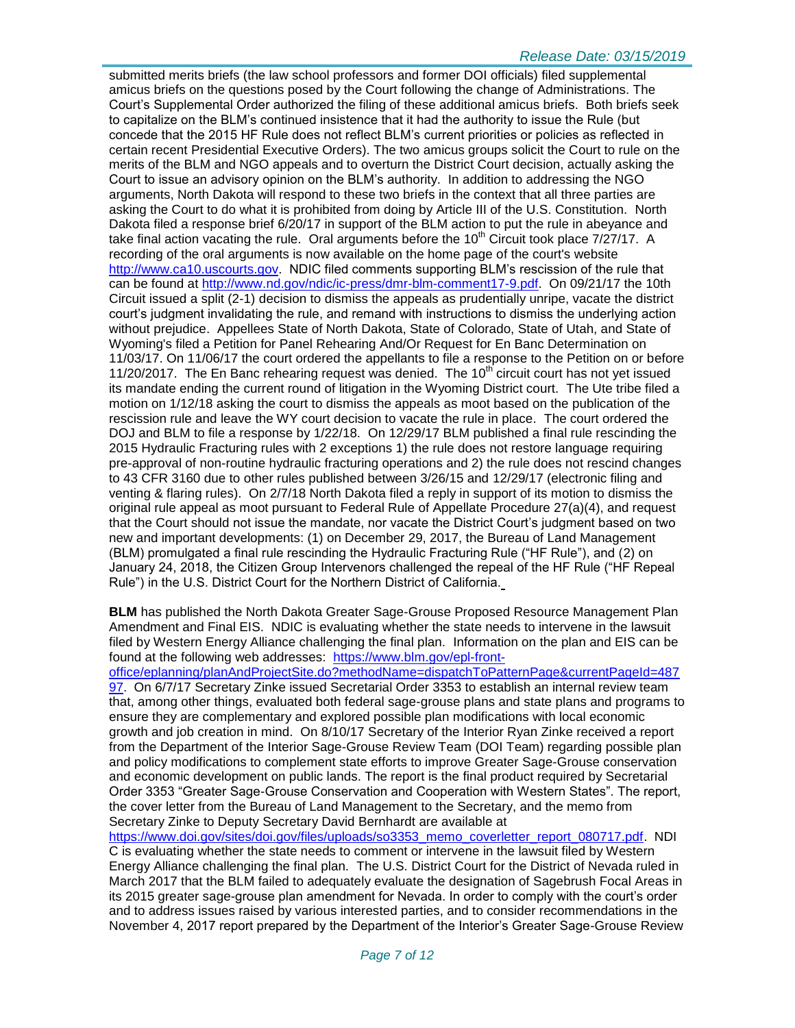#### *Release Date: 03/15/2019*

submitted merits briefs (the law school professors and former DOI officials) filed supplemental amicus briefs on the questions posed by the Court following the change of Administrations. The Court's Supplemental Order authorized the filing of these additional amicus briefs. Both briefs seek to capitalize on the BLM's continued insistence that it had the authority to issue the Rule (but concede that the 2015 HF Rule does not reflect BLM's current priorities or policies as reflected in certain recent Presidential Executive Orders). The two amicus groups solicit the Court to rule on the merits of the BLM and NGO appeals and to overturn the District Court decision, actually asking the Court to issue an advisory opinion on the BLM's authority. In addition to addressing the NGO arguments, North Dakota will respond to these two briefs in the context that all three parties are asking the Court to do what it is prohibited from doing by Article III of the U.S. Constitution. North Dakota filed a response brief 6/20/17 in support of the BLM action to put the rule in abeyance and take final action vacating the rule. Oral arguments before the  $10<sup>th</sup>$  Circuit took place  $7/27/17$ . A recording of the oral arguments is now available on the home page of the court's website [http://www.ca10.uscourts.gov.](https://urldefense.proofpoint.com/v2/url?u=http-3A__www.ca10.uscourts.gov&d=DwMGaQ&c=2s2mvbfY0UoSKkl6_Ol9wg&r=-wqsZnBxny594KY8HeElow&m=Ul_VtJUX6iW5pvHjCcBxUWtskC0F4Dhry3sPtcEHvCw&s=laRHiLDv5w8otcQWQjpn82WMieoB2AZ-Q4M1LFQPL5s&e=) NDIC filed comments supporting BLM's rescission of the rule that can be found at [http://www.nd.gov/ndic/ic-press/dmr-blm-comment17-9.pdf.](http://www.nd.gov/ndic/ic-press/dmr-blm-comment17-9.pdf) On 09/21/17 the 10th Circuit issued a split (2-1) decision to dismiss the appeals as prudentially unripe, vacate the district court's judgment invalidating the rule, and remand with instructions to dismiss the underlying action without prejudice. Appellees State of North Dakota, State of Colorado, State of Utah, and State of Wyoming's filed a Petition for Panel Rehearing And/Or Request for En Banc Determination on 11/03/17. On 11/06/17 the court ordered the appellants to file a response to the Petition on or before 11/20/2017. The En Banc rehearing request was denied. The  $10<sup>th</sup>$  circuit court has not vet issued its mandate ending the current round of litigation in the Wyoming District court. The Ute tribe filed a motion on 1/12/18 asking the court to dismiss the appeals as moot based on the publication of the rescission rule and leave the WY court decision to vacate the rule in place. The court ordered the DOJ and BLM to file a response by 1/22/18. On 12/29/17 BLM published a final rule rescinding the 2015 Hydraulic Fracturing rules with 2 exceptions 1) the rule does not restore language requiring pre-approval of non-routine hydraulic fracturing operations and 2) the rule does not rescind changes to 43 CFR 3160 due to other rules published between 3/26/15 and 12/29/17 (electronic filing and venting & flaring rules). On 2/7/18 North Dakota filed a reply in support of its motion to dismiss the original rule appeal as moot pursuant to Federal Rule of Appellate Procedure 27(a)(4), and request that the Court should not issue the mandate, nor vacate the District Court's judgment based on two new and important developments: (1) on December 29, 2017, the Bureau of Land Management (BLM) promulgated a final rule rescinding the Hydraulic Fracturing Rule ("HF Rule"), and (2) on January 24, 2018, the Citizen Group Intervenors challenged the repeal of the HF Rule ("HF Repeal Rule") in the U.S. District Court for the Northern District of California.

**BLM** has published the North Dakota Greater Sage-Grouse Proposed Resource Management Plan Amendment and Final EIS. NDIC is evaluating whether the state needs to intervene in the lawsuit filed by Western Energy Alliance challenging the final plan. Information on the plan and EIS can be found at the following web addresses: [https://www.blm.gov/epl-front-](https://www.blm.gov/epl-front-office/eplanning/planAndProjectSite.do?methodName=dispatchToPatternPage¤tPageId=48797)

[office/eplanning/planAndProjectSite.do?methodName=dispatchToPatternPage&currentPageId=487](https://www.blm.gov/epl-front-office/eplanning/planAndProjectSite.do?methodName=dispatchToPatternPage¤tPageId=48797) [97.](https://www.blm.gov/epl-front-office/eplanning/planAndProjectSite.do?methodName=dispatchToPatternPage¤tPageId=48797) On 6/7/17 Secretary Zinke issued Secretarial Order 3353 to establish an internal review team that, among other things, evaluated both federal sage-grouse plans and state plans and programs to ensure they are complementary and explored possible plan modifications with local economic growth and job creation in mind. On 8/10/17 Secretary of the Interior Ryan Zinke received a report from the Department of the Interior Sage-Grouse Review Team (DOI Team) regarding possible plan and policy modifications to complement state efforts to improve Greater Sage-Grouse conservation and economic development on public lands. The report is the final product required by Secretarial Order 3353 "Greater Sage-Grouse Conservation and Cooperation with Western States". The report, the cover letter from the Bureau of Land Management to the Secretary, and the memo from Secretary Zinke to Deputy Secretary David Bernhardt are available at

[https://www.doi.gov/sites/doi.gov/files/uploads/so3353\\_memo\\_coverletter\\_report\\_080717.pdf.](https://www.doi.gov/sites/doi.gov/files/uploads/so3353_memo_coverletter_report_080717.pdf) NDI C is evaluating whether the state needs to comment or intervene in the lawsuit filed by Western Energy Alliance challenging the final plan. The U.S. District Court for the District of Nevada ruled in March 2017 that the BLM failed to adequately evaluate the designation of Sagebrush Focal Areas in its 2015 greater sage-grouse plan amendment for Nevada. In order to comply with the court's order and to address issues raised by various interested parties, and to consider recommendations in the November 4, 2017 report prepared by the Department of the Interior's Greater Sage-Grouse Review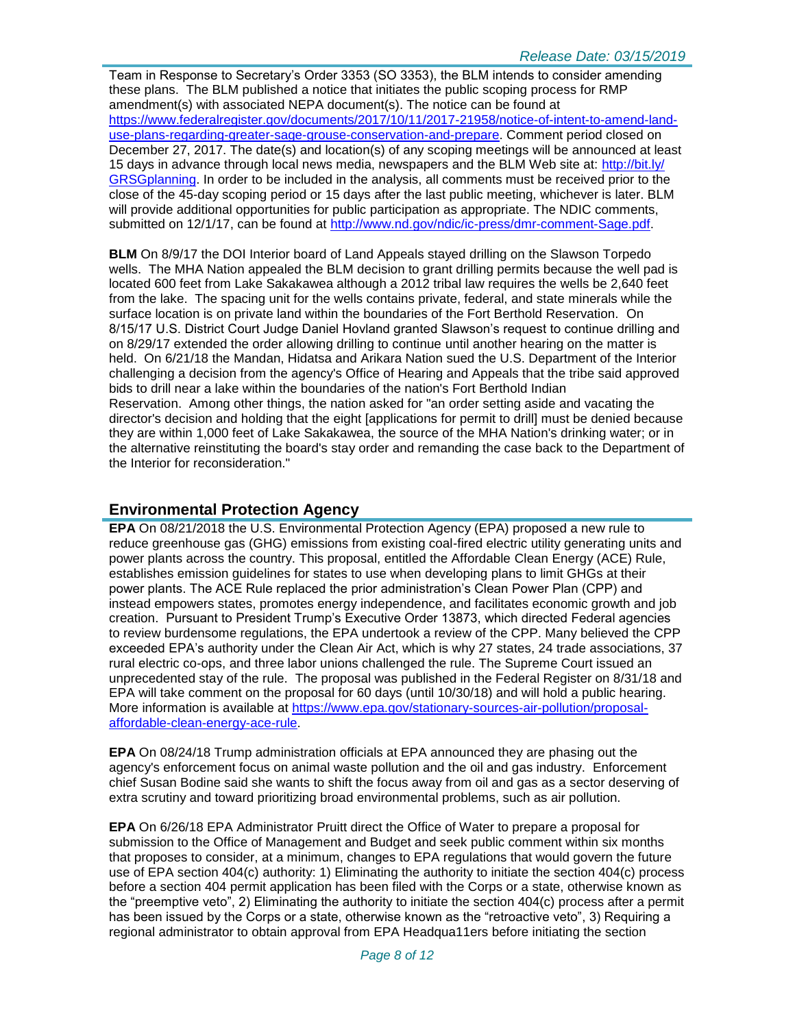Team in Response to Secretary's Order 3353 (SO 3353), the BLM intends to consider amending these plans. The BLM published a notice that initiates the public scoping process for RMP amendment(s) with associated NEPA document(s). The notice can be found at [https://www.federalregister.gov/documents/2017/10/11/2017-21958/notice-of-intent-to-amend-land](https://www.federalregister.gov/documents/2017/10/11/2017-21958/notice-of-intent-to-amend-land-use-plans-regarding-greater-sage-grouse-conservation-and-prepare)[use-plans-regarding-greater-sage-grouse-conservation-and-prepare.](https://www.federalregister.gov/documents/2017/10/11/2017-21958/notice-of-intent-to-amend-land-use-plans-regarding-greater-sage-grouse-conservation-and-prepare) Comment period closed on December 27, 2017. The date(s) and location(s) of any scoping meetings will be announced at least 15 days in advance through local news media, newspapers and the BLM Web site at: [http://bit.ly/](http://bit.ly/​GRSGplanning) [GRSGplanning.](http://bit.ly/​GRSGplanning) In order to be included in the analysis, all comments must be received prior to the close of the 45-day scoping period or 15 days after the last public meeting, whichever is later. BLM will provide additional opportunities for public participation as appropriate. The NDIC comments, submitted on 12/1/17, can be found at [http://www.nd.gov/ndic/ic-press/dmr-comment-Sage.pdf.](http://www.nd.gov/ndic/ic-press/dmr-comment-Sage.pdf)

**BLM** On 8/9/17 the DOI Interior board of Land Appeals stayed drilling on the Slawson Torpedo wells. The MHA Nation appealed the BLM decision to grant drilling permits because the well pad is located 600 feet from Lake Sakakawea although a 2012 tribal law requires the wells be 2,640 feet from the lake. The spacing unit for the wells contains private, federal, and state minerals while the surface location is on private land within the boundaries of the Fort Berthold Reservation. On 8/15/17 U.S. District Court Judge Daniel Hovland granted Slawson's request to continue drilling and on 8/29/17 extended the order allowing drilling to continue until another hearing on the matter is held. On 6/21/18 the Mandan, Hidatsa and Arikara Nation sued the U.S. Department of the Interior challenging a decision from the agency's Office of Hearing and Appeals that the tribe said approved bids to drill near a lake within the boundaries of the nation's Fort Berthold Indian Reservation. Among other things, the nation asked for "an order setting aside and vacating the director's decision and holding that the eight [applications for permit to drill] must be denied because they are within 1,000 feet of Lake Sakakawea, the source of the MHA Nation's drinking water; or in the alternative reinstituting the board's stay order and remanding the case back to the Department of the Interior for reconsideration."

## **Environmental Protection Agency**

**EPA** On 08/21/2018 the U.S. Environmental Protection Agency (EPA) proposed a new rule to reduce greenhouse gas (GHG) emissions from existing coal-fired electric utility generating units and power plants across the country. This proposal, entitled the Affordable Clean Energy (ACE) Rule, establishes emission guidelines for states to use when developing plans to limit GHGs at their power plants. The ACE Rule replaced the prior administration's Clean Power Plan (CPP) and instead empowers states, promotes energy independence, and facilitates economic growth and job creation. Pursuant to President Trump's Executive Order 13873, which directed Federal agencies to review burdensome regulations, the EPA undertook a review of the CPP. Many believed the CPP exceeded EPA's authority under the Clean Air Act, which is why 27 states, 24 trade associations, 37 rural electric co-ops, and three labor unions challenged the rule. The Supreme Court issued an unprecedented stay of the rule. The proposal was published in the Federal Register on 8/31/18 and EPA will take comment on the proposal for 60 days (until 10/30/18) and will hold a public hearing. More information is available at [https://www.epa.gov/stationary-sources-air-pollution/proposal](https://www.epa.gov/stationary-sources-air-pollution/proposal-affordable-clean-energy-ace-rule)[affordable-clean-energy-ace-rule.](https://www.epa.gov/stationary-sources-air-pollution/proposal-affordable-clean-energy-ace-rule)

**EPA** On 08/24/18 Trump administration officials at EPA announced they are phasing out the agency's enforcement focus on animal waste pollution and the oil and gas industry. Enforcement chief Susan Bodine said she wants to shift the focus away from oil and gas as a sector deserving of extra scrutiny and toward prioritizing broad environmental problems, such as air pollution.

**EPA** On 6/26/18 EPA Administrator Pruitt direct the Office of Water to prepare a proposal for submission to the Office of Management and Budget and seek public comment within six months that proposes to consider, at a minimum, changes to EPA regulations that would govern the future use of EPA section 404(c) authority: 1) Eliminating the authority to initiate the section 404(c) process before a section 404 permit application has been filed with the Corps or a state, otherwise known as the "preemptive veto", 2) Eliminating the authority to initiate the section 404(c) process after a permit has been issued by the Corps or a state, otherwise known as the "retroactive veto", 3) Requiring a regional administrator to obtain approval from EPA Headqua11ers before initiating the section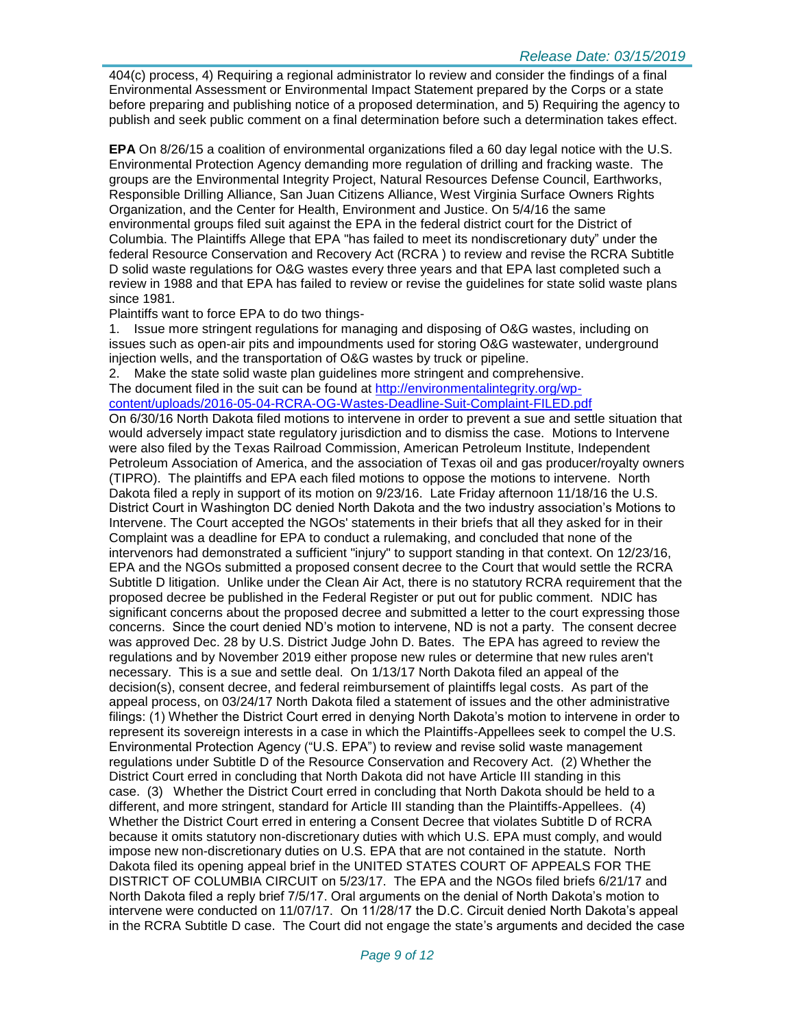404(c) process, 4) Requiring a regional administrator lo review and consider the findings of a final Environmental Assessment or Environmental Impact Statement prepared by the Corps or a state before preparing and publishing notice of a proposed determination, and 5) Requiring the agency to publish and seek public comment on a final determination before such a determination takes effect.

**EPA** On 8/26/15 a coalition of environmental organizations filed a 60 day legal notice with the U.S. Environmental Protection Agency demanding more regulation of drilling and fracking waste. The groups are the Environmental Integrity Project, Natural Resources Defense Council, Earthworks, Responsible Drilling Alliance, San Juan Citizens Alliance, West Virginia Surface Owners Rights Organization, and the Center for Health, Environment and Justice. On 5/4/16 the same environmental groups filed suit against the EPA in the federal district court for the District of Columbia. The Plaintiffs Allege that EPA "has failed to meet its nondiscretionary duty" under the federal Resource Conservation and Recovery Act (RCRA ) to review and revise the RCRA Subtitle D solid waste regulations for O&G wastes every three years and that EPA last completed such a review in 1988 and that EPA has failed to review or revise the guidelines for state solid waste plans since 1981.

Plaintiffs want to force EPA to do two things-

1. Issue more stringent regulations for managing and disposing of O&G wastes, including on issues such as open-air pits and impoundments used for storing O&G wastewater, underground injection wells, and the transportation of O&G wastes by truck or pipeline.

2. Make the state solid waste plan guidelines more stringent and comprehensive. The document filed in the suit can be found at [http://environmentalintegrity.org/wp-](http://environmentalintegrity.org/wp-content/uploads/2016-05-04-RCRA-OG-Wastes-Deadline-Suit-Complaint-FILED.pdf)

[content/uploads/2016-05-04-RCRA-OG-Wastes-Deadline-Suit-Complaint-FILED.pdf](http://environmentalintegrity.org/wp-content/uploads/2016-05-04-RCRA-OG-Wastes-Deadline-Suit-Complaint-FILED.pdf)

On 6/30/16 North Dakota filed motions to intervene in order to prevent a sue and settle situation that would adversely impact state regulatory jurisdiction and to dismiss the case. Motions to Intervene were also filed by the Texas Railroad Commission, American Petroleum Institute, Independent Petroleum Association of America, and the association of Texas oil and gas producer/royalty owners (TIPRO). The plaintiffs and EPA each filed motions to oppose the motions to intervene. North Dakota filed a reply in support of its motion on 9/23/16. Late Friday afternoon 11/18/16 the U.S. District Court in Washington DC denied North Dakota and the two industry association's Motions to Intervene. The Court accepted the NGOs' statements in their briefs that all they asked for in their Complaint was a deadline for EPA to conduct a rulemaking, and concluded that none of the intervenors had demonstrated a sufficient "injury" to support standing in that context. On 12/23/16, EPA and the NGOs submitted a proposed consent decree to the Court that would settle the RCRA Subtitle D litigation. Unlike under the Clean Air Act, there is no statutory RCRA requirement that the proposed decree be published in the Federal Register or put out for public comment. NDIC has significant concerns about the proposed decree and submitted a letter to the court expressing those concerns. Since the court denied ND's motion to intervene, ND is not a party. The consent decree was approved Dec. 28 by U.S. District Judge John D. Bates. The EPA has agreed to review the regulations and by November 2019 either propose new rules or determine that new rules aren't necessary. This is a sue and settle deal. On 1/13/17 North Dakota filed an appeal of the decision(s), consent decree, and federal reimbursement of plaintiffs legal costs. As part of the appeal process, on 03/24/17 North Dakota filed a statement of issues and the other administrative filings: (1) Whether the District Court erred in denying North Dakota's motion to intervene in order to represent its sovereign interests in a case in which the Plaintiffs-Appellees seek to compel the U.S. Environmental Protection Agency ("U.S. EPA") to review and revise solid waste management regulations under Subtitle D of the Resource Conservation and Recovery Act. (2) Whether the District Court erred in concluding that North Dakota did not have Article III standing in this case. (3) Whether the District Court erred in concluding that North Dakota should be held to a different, and more stringent, standard for Article III standing than the Plaintiffs-Appellees. (4) Whether the District Court erred in entering a Consent Decree that violates Subtitle D of RCRA because it omits statutory non-discretionary duties with which U.S. EPA must comply, and would impose new non-discretionary duties on U.S. EPA that are not contained in the statute. North Dakota filed its opening appeal brief in the UNITED STATES COURT OF APPEALS FOR THE DISTRICT OF COLUMBIA CIRCUIT on 5/23/17. The EPA and the NGOs filed briefs 6/21/17 and North Dakota filed a reply brief 7/5/17. Oral arguments on the denial of North Dakota's motion to intervene were conducted on 11/07/17. On 11/28/17 the D.C. Circuit denied North Dakota's appeal in the RCRA Subtitle D case. The Court did not engage the state's arguments and decided the case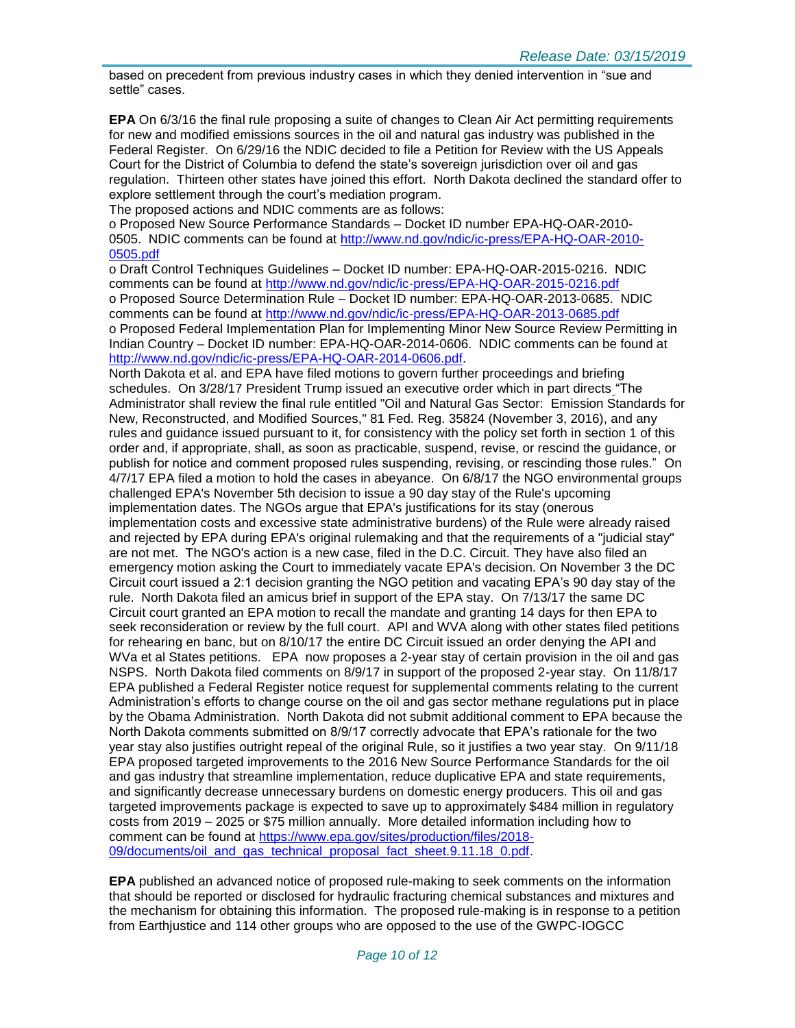based on precedent from previous industry cases in which they denied intervention in "sue and settle" cases.

**EPA** On 6/3/16 the final rule proposing a suite of changes to Clean Air Act permitting requirements for new and modified emissions sources in the oil and natural gas industry was published in the Federal Register. On 6/29/16 the NDIC decided to file a Petition for Review with the US Appeals Court for the District of Columbia to defend the state's sovereign jurisdiction over oil and gas regulation. Thirteen other states have joined this effort. North Dakota declined the standard offer to explore settlement through the court's mediation program.

The proposed actions and NDIC comments are as follows:

o Proposed New Source Performance Standards – Docket ID number EPA-HQ-OAR-2010- 0505. NDIC comments can be found at [http://www.nd.gov/ndic/ic-press/EPA-HQ-OAR-2010-](http://www.nd.gov/ndic/ic-press/EPA-HQ-OAR-2010-0505.pdf) [0505.pdf](http://www.nd.gov/ndic/ic-press/EPA-HQ-OAR-2010-0505.pdf)

o Draft Control Techniques Guidelines – Docket ID number: EPA-HQ-OAR-2015-0216. NDIC comments can be found at<http://www.nd.gov/ndic/ic-press/EPA-HQ-OAR-2015-0216.pdf> o Proposed Source Determination Rule – Docket ID number: EPA-HQ-OAR-2013-0685. NDIC comments can be found at<http://www.nd.gov/ndic/ic-press/EPA-HQ-OAR-2013-0685.pdf> o Proposed Federal Implementation Plan for Implementing Minor New Source Review Permitting in Indian Country – Docket ID number: EPA-HQ-OAR-2014-0606. NDIC comments can be found at [http://www.nd.gov/ndic/ic-press/EPA-HQ-OAR-2014-0606.pdf.](http://www.nd.gov/ndic/ic-press/EPA-HQ-OAR-2014-0606.pdf)

North Dakota et al. and EPA have filed motions to govern further proceedings and briefing schedules. On 3/28/17 President Trump issued an executive order which in part directs "The Administrator shall review the final rule entitled "Oil and Natural Gas Sector: Emission Standards for New, Reconstructed, and Modified Sources," 81 Fed. Reg. 35824 (November 3, 2016), and any rules and guidance issued pursuant to it, for consistency with the policy set forth in section 1 of this order and, if appropriate, shall, as soon as practicable, suspend, revise, or rescind the guidance, or publish for notice and comment proposed rules suspending, revising, or rescinding those rules." On 4/7/17 EPA filed a motion to hold the cases in abeyance. On 6/8/17 the NGO environmental groups challenged EPA's November 5th decision to issue a 90 day stay of the Rule's upcoming implementation dates. The NGOs argue that EPA's justifications for its stay (onerous implementation costs and excessive state administrative burdens) of the Rule were already raised and rejected by EPA during EPA's original rulemaking and that the requirements of a "judicial stay" are not met. The NGO's action is a new case, filed in the D.C. Circuit. They have also filed an emergency motion asking the Court to immediately vacate EPA's decision. On November 3 the DC Circuit court issued a 2:1 decision granting the NGO petition and vacating EPA's 90 day stay of the rule. North Dakota filed an amicus brief in support of the EPA stay. On 7/13/17 the same DC Circuit court granted an EPA motion to recall the mandate and granting 14 days for then EPA to seek reconsideration or review by the full court. API and WVA along with other states filed petitions for rehearing en banc, but on 8/10/17 the entire DC Circuit issued an order denying the API and WVa et al States petitions. EPA now proposes a 2-year stay of certain provision in the oil and gas NSPS. North Dakota filed comments on 8/9/17 in support of the proposed 2-year stay. On 11/8/17 EPA published a Federal Register notice request for supplemental comments relating to the current Administration's efforts to change course on the oil and gas sector methane regulations put in place by the Obama Administration. North Dakota did not submit additional comment to EPA because the North Dakota comments submitted on 8/9/17 correctly advocate that EPA's rationale for the two year stay also justifies outright repeal of the original Rule, so it justifies a two year stay. On 9/11/18 EPA proposed targeted improvements to the 2016 New Source Performance Standards for the oil and gas industry that streamline implementation, reduce duplicative EPA and state requirements, and significantly decrease unnecessary burdens on domestic energy producers. This oil and gas targeted improvements package is expected to save up to approximately \$484 million in regulatory costs from 2019 – 2025 or \$75 million annually. More detailed information including how to comment can be found at [https://www.epa.gov/sites/production/files/2018-](https://www.epa.gov/sites/production/files/2018-09/documents/oil_and_gas_technical_proposal_fact_sheet.9.11.18_0.pdf) [09/documents/oil\\_and\\_gas\\_technical\\_proposal\\_fact\\_sheet.9.11.18\\_0.pdf.](https://www.epa.gov/sites/production/files/2018-09/documents/oil_and_gas_technical_proposal_fact_sheet.9.11.18_0.pdf)

**EPA** published an advanced notice of proposed rule-making to seek comments on the information that should be reported or disclosed for hydraulic fracturing chemical substances and mixtures and the mechanism for obtaining this information. The proposed rule-making is in response to a petition from Earthjustice and 114 other groups who are opposed to the use of the GWPC-IOGCC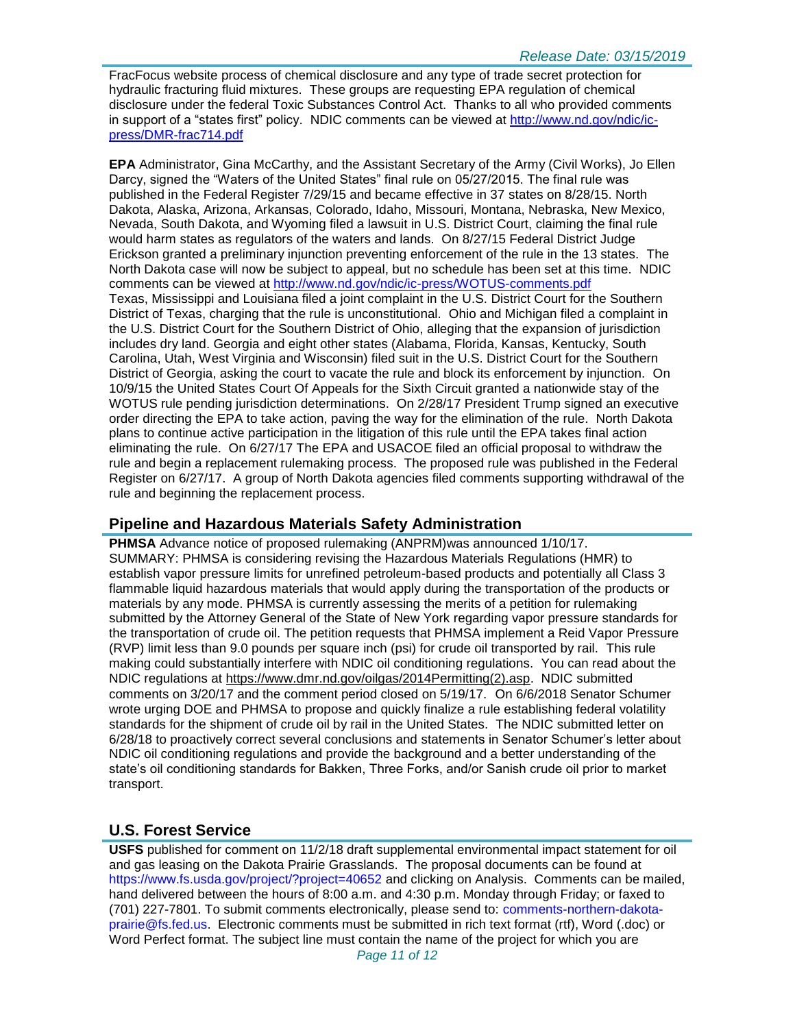FracFocus website process of chemical disclosure and any type of trade secret protection for hydraulic fracturing fluid mixtures. These groups are requesting EPA regulation of chemical disclosure under the federal Toxic Substances Control Act. Thanks to all who provided comments in support of a "states first" policy. NDIC comments can be viewed at [http://www.nd.gov/ndic/ic](http://www.nd.gov/ndic/ic-press/DMR-frac714.pdf)[press/DMR-frac714.pdf](http://www.nd.gov/ndic/ic-press/DMR-frac714.pdf)

**EPA** Administrator, Gina McCarthy, and the Assistant Secretary of the Army (Civil Works), Jo Ellen Darcy, signed the "Waters of the United States" final rule on 05/27/2015. The final rule was published in the Federal Register 7/29/15 and became effective in 37 states on 8/28/15. North Dakota, Alaska, Arizona, Arkansas, Colorado, Idaho, Missouri, Montana, Nebraska, New Mexico, Nevada, South Dakota, and Wyoming filed a lawsuit in U.S. District Court, claiming the final rule would harm states as regulators of the waters and lands. On 8/27/15 Federal District Judge Erickson granted a preliminary injunction preventing enforcement of the rule in the 13 states. The North Dakota case will now be subject to appeal, but no schedule has been set at this time. NDIC comments can be viewed at<http://www.nd.gov/ndic/ic-press/WOTUS-comments.pdf> Texas, Mississippi and Louisiana filed a joint complaint in the U.S. District Court for the Southern District of Texas, charging that the rule is unconstitutional. Ohio and Michigan filed a complaint in the U.S. District Court for the Southern District of Ohio, alleging that the expansion of jurisdiction includes dry land. Georgia and eight other states (Alabama, Florida, Kansas, Kentucky, South Carolina, Utah, West Virginia and Wisconsin) filed suit in the U.S. District Court for the Southern District of Georgia, asking the court to vacate the rule and block its enforcement by injunction. On 10/9/15 the United States Court Of Appeals for the Sixth Circuit granted a nationwide stay of the WOTUS rule pending jurisdiction determinations. On 2/28/17 President Trump signed an executive order directing the EPA to take action, paving the way for the elimination of the rule. North Dakota plans to continue active participation in the litigation of this rule until the EPA takes final action eliminating the rule. On 6/27/17 The EPA and USACOE filed an official proposal to withdraw the rule and begin a replacement rulemaking process. The proposed rule was published in the Federal Register on 6/27/17. A group of North Dakota agencies filed comments supporting withdrawal of the rule and beginning the replacement process.

#### **Pipeline and Hazardous Materials Safety Administration**

**PHMSA** Advance notice of proposed rulemaking (ANPRM)was announced 1/10/17. SUMMARY: PHMSA is considering revising the Hazardous Materials Regulations (HMR) to establish vapor pressure limits for unrefined petroleum-based products and potentially all Class 3 flammable liquid hazardous materials that would apply during the transportation of the products or materials by any mode. PHMSA is currently assessing the merits of a petition for rulemaking submitted by the Attorney General of the State of New York regarding vapor pressure standards for the transportation of crude oil. The petition requests that PHMSA implement a Reid Vapor Pressure (RVP) limit less than 9.0 pounds per square inch (psi) for crude oil transported by rail. This rule making could substantially interfere with NDIC oil conditioning regulations. You can read about the NDIC regulations at [https://www.dmr.nd.gov/oilgas/2014Permitting\(2\).asp.](https://www.dmr.nd.gov/oilgas/2014Permitting(2).asp) NDIC submitted comments on 3/20/17 and the comment period closed on 5/19/17. On 6/6/2018 Senator Schumer wrote urging DOE and PHMSA to propose and quickly finalize a rule establishing federal volatility standards for the shipment of crude oil by rail in the United States. The NDIC submitted letter on 6/28/18 to proactively correct several conclusions and statements in Senator Schumer's letter about NDIC oil conditioning regulations and provide the background and a better understanding of the state's oil conditioning standards for Bakken, Three Forks, and/or Sanish crude oil prior to market transport.

## **U.S. Forest Service**

**USFS** published for comment on 11/2/18 draft supplemental environmental impact statement for oil and gas leasing on the Dakota Prairie Grasslands. The proposal documents can be found at <https://www.fs.usda.gov/project/?project=40652> and clicking on Analysis. Comments can be mailed, hand delivered between the hours of 8:00 a.m. and 4:30 p.m. Monday through Friday; or faxed to (701) 227-7801. To submit comments electronically, please send to: [comments-northern-dakota](mailto:comments-northern-dakota-prairie@fs.fed.us)[prairie@fs.fed.us.](mailto:comments-northern-dakota-prairie@fs.fed.us) Electronic comments must be submitted in rich text format (rtf), Word (.doc) or Word Perfect format. The subject line must contain the name of the project for which you are